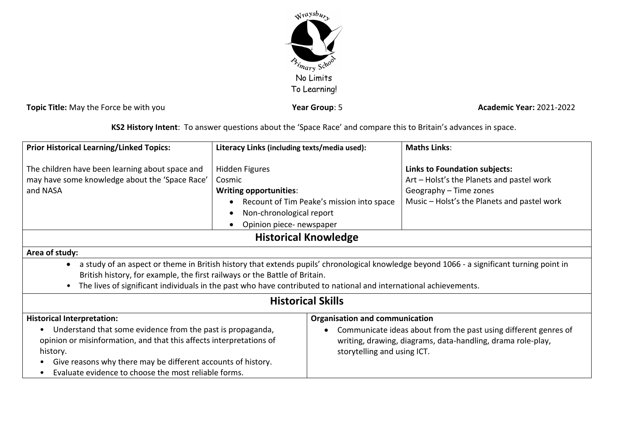

**Topic Title:** May the Force be with you *Year Group***: 5 <b>Academic Year:** 2021-2022

**KS2 History Intent**: To answer questions about the 'Space Race' and compare this to Britain's advances in space.

| <b>Prior Historical Learning/Linked Topics:</b>                                                                                                                                                                                                                                                                                               | Literacy Links (including texts/media used):                                                                                          |                                                                                                                                                                                                        | <b>Maths Links:</b>                                                                                                                                        |  |
|-----------------------------------------------------------------------------------------------------------------------------------------------------------------------------------------------------------------------------------------------------------------------------------------------------------------------------------------------|---------------------------------------------------------------------------------------------------------------------------------------|--------------------------------------------------------------------------------------------------------------------------------------------------------------------------------------------------------|------------------------------------------------------------------------------------------------------------------------------------------------------------|--|
| The children have been learning about space and<br>may have some knowledge about the 'Space Race'<br>and NASA                                                                                                                                                                                                                                 | <b>Hidden Figures</b><br>Cosmic<br><b>Writing opportunities:</b><br>Non-chronological report<br>Opinion piece- newspaper<br>$\bullet$ | Recount of Tim Peake's mission into space                                                                                                                                                              | <b>Links to Foundation subjects:</b><br>Art - Holst's the Planets and pastel work<br>Geography - Time zones<br>Music – Holst's the Planets and pastel work |  |
| <b>Historical Knowledge</b>                                                                                                                                                                                                                                                                                                                   |                                                                                                                                       |                                                                                                                                                                                                        |                                                                                                                                                            |  |
| Area of study:                                                                                                                                                                                                                                                                                                                                |                                                                                                                                       |                                                                                                                                                                                                        |                                                                                                                                                            |  |
| a study of an aspect or theme in British history that extends pupils' chronological knowledge beyond 1066 - a significant turning point in<br>British history, for example, the first railways or the Battle of Britain.<br>The lives of significant individuals in the past who have contributed to national and international achievements. |                                                                                                                                       |                                                                                                                                                                                                        |                                                                                                                                                            |  |
| <b>Historical Skills</b>                                                                                                                                                                                                                                                                                                                      |                                                                                                                                       |                                                                                                                                                                                                        |                                                                                                                                                            |  |
| <b>Historical Interpretation:</b><br>Understand that some evidence from the past is propaganda,<br>$\bullet$<br>opinion or misinformation, and that this affects interpretations of<br>history.<br>Give reasons why there may be different accounts of history.<br>Evaluate evidence to choose the most reliable forms.<br>$\bullet$          |                                                                                                                                       | <b>Organisation and communication</b><br>Communicate ideas about from the past using different genres of<br>writing, drawing, diagrams, data-handling, drama role-play,<br>storytelling and using ICT. |                                                                                                                                                            |  |